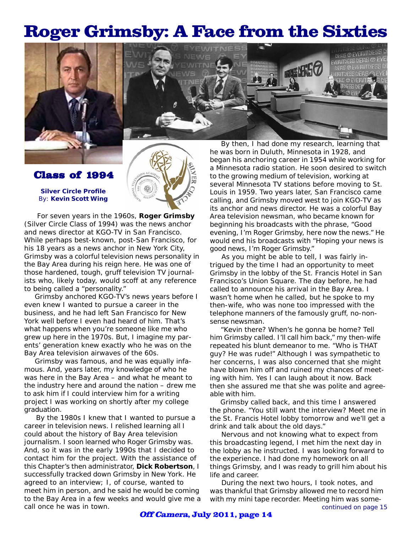## Roger Grimsby: A Face from the Sixties





*Silver Circle* **Profile** By: **Kevin Scott Wing**

Class of 1994

 For seven years in the 1960s, **Roger Grimsby** *(Silver Circle Class of 1994)* was the news anchor and news director at KGO-TV in San Francisco. While perhaps best-known, post-San Francisco, for his 18 years as a news anchor in New York City, Grimsby was a colorful television news personality in the Bay Area during his reign here. He was one of those hardened, tough, gruff television TV journalists who, likely today, would scoff at any reference to being called a "personality."

 Grimsby anchored KGO-TV's news years before I even knew I wanted to pursue a career in the business, and he had left San Francisco for New York well before I even had heard of him. That's what happens when you're someone like me who grew up here in the 1970s. But, I imagine my parents' generation knew exactly who he was on the Bay Area television airwaves of the 60s.

 Grimsby was famous, and he was equally infamous. And, years later, my knowledge of who he was here in the Bay Area – and what he meant to the industry here and around the nation – drew me to ask him if I could interview him for a writing project I was working on shortly after my college graduation.

 By the 1980s I knew that I wanted to pursue a career in television news. I relished learning all I could about the history of Bay Area television journalism. I soon learned who Roger Grimsby was. And, so it was in the early 1990s that I decided to contact him for the project. With the assistance of this Chapter's then administrator, **Dick Robertson**, I successfully tracked down Grimsby in New York. He agreed to an interview; I, of course, wanted to meet him in person, and he said he would be coming to the Bay Area in a few weeks and would give me a call once he was in town.

 By then, I had done my research, learning that he was born in Duluth, Minnesota in 1928, and began his anchoring career in 1954 while working for a Minnesota radio station. He soon desired to switch to the growing medium of television, working at several Minnesota TV stations before moving to St. Louis in 1959. Two years later, San Francisco came calling, and Grimsby moved west to join KGO-TV as its anchor and news director. He was a colorful Bay Area television newsman, who became known for beginning his broadcasts with the phrase, "Good evening, I'm Roger Grimsby, here now the news." He would end his broadcasts with "Hoping your news is good news, I'm Roger Grimsby."

 As you might be able to tell, I was fairly intrigued by the time I had an opportunity to meet Grimsby in the lobby of the St. Francis Hotel in San Francisco's Union Square. The day before, he had called to announce his arrival in the Bay Area. I wasn't home when he called, but he spoke to my then-wife, who was none too impressed with the telephone manners of the famously gruff, no-nonsense newsman.

 "Kevin there? When's he gonna be home? Tell him Grimsby called. I'll call him back," my then-wife repeated his blunt demeanor to me. "Who is THAT guy? He was rude!" Although I was sympathetic to her concerns, I was also concerned that she might have blown him off and ruined my chances of meeting with him. Yes I can laugh about it now. Back then she assured me that she was polite and agreeable with him.

 Grimsby called back, and this time I answered the phone. "You still want the interview? Meet me in the St. Francis Hotel lobby tomorrow and we'll get a drink and talk about the old days."

 Nervous and not knowing what to expect from this broadcasting legend, I met him the next day in the lobby as he instructed. I was looking forward to the experience. I had done my homework on all things Grimsby, and I was ready to grill him about his life and career.

 During the next two hours, I took notes, and was thankful that Grimsby allowed me to record him with my mini tape recorder. Meeting him was some*continued on page 15*